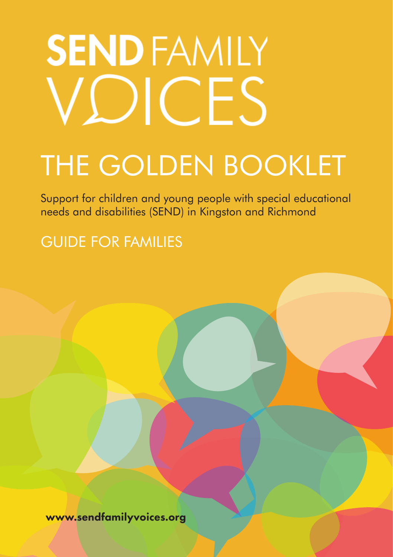# **SEND FAMILY** VDICES

# THE GOLDEN BOOKLET

Support for children and young people with special educational needs and disabilities (SEND) in Kingston and Richmond

GUIDE FOR FAMILIES

www.sendfamilyvoices.org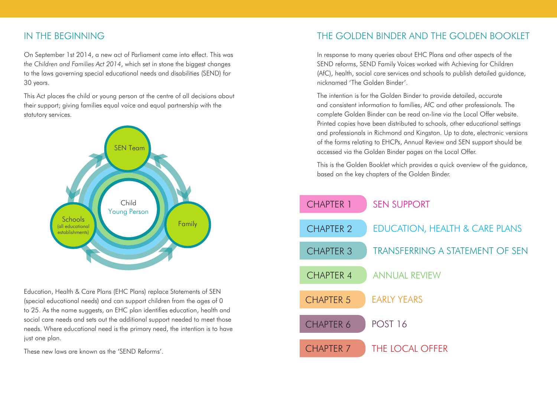#### IN THE BEGINNING

On September 1st 2014, a new act of Parliament came into effect. This was *the Children and Families Act 2014*, which set in stone the biggest changes to the laws governing special educational needs and disabilities (SEND) for 30 years.

This Act places the child or young person at the centre of all decisions about their support; giving families equal voice and equal partnership with the statutory services.



Education, Health & Care Plans (EHC Plans) replace Statements of SEN (special educational needs) and can support children from the ages of 0 to 25. As the name suggests, an EHC plan identifies education, health and social care needs and sets out the additional support needed to meet those needs. Where educational need is the primary need, the intention is to have just one plan.

These new laws are known as the 'SEND Reforms'.

## THE GOLDEN BINDER AND THE GOLDEN BOOKLET

In response to many queries about EHC Plans and other aspects of the SEND reforms, SEND Family Voices worked with Achieving for Children (AfC), health, social care services and schools to publish detailed guidance, nicknamed 'The Golden Binder'.

The intention is for the Golden Binder to provide detailed, accurate and consistent information to families, AfC and other professionals. The complete Golden Binder can be read on-line via the Local Offer website. Printed copies have been distributed to schools, other educational settings and professionals in Richmond and Kingston. Up to date, electronic versions of the forms relating to EHCPs, Annual Review and SEN support should be accessed via the Golden Binder pages on the Local Offer.

This is the Golden Booklet which provides a quick overview of the guidance, based on the key chapters of the Golden Binder.

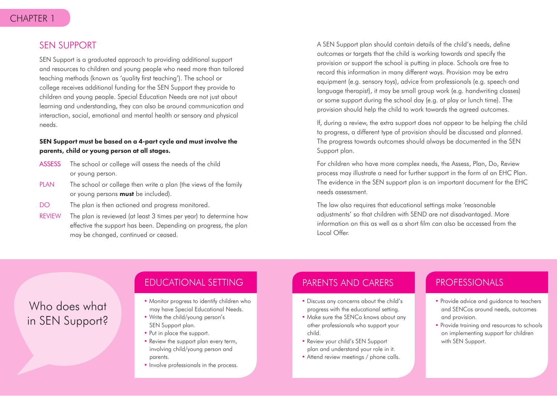#### SEN SUPPORT

SEN Support is a graduated approach to providing additional support and resources to children and young people who need more than tailored teaching methods (known as 'quality first teaching'). The school or college receives additional funding for the SEN Support they provide to children and young people. Special Education Needs are not just about learning and understanding, they can also be around communication and interaction, social, emotional and mental health or sensory and physical needs.

#### SEN Support must be based on a 4-part cycle and must involve the parents, child or young person at all stages.

- ASSESS The school or college will assess the needs of the child or young person.
- PLAN The school or college then write a plan (the views of the family or young persons **must** be included).
- DO The plan is then actioned and progress monitored.
- REVIEW The plan is reviewed (at least 3 times per year) to determine how effective the support has been. Depending on progress, the plan may be changed, continued or ceased.

A SEN Support plan should contain details of the child's needs, define outcomes or targets that the child is working towards and specify the provision or support the school is putting in place. Schools are free to record this information in many different ways. Provision may be extra equipment (e.g. sensory toys), advice from professionals (e.g. speech and language therapist), it may be small group work (e.g. handwriting classes) or some support during the school day (e.g. at play or lunch time). The provision should help the child to work towards the agreed outcomes.

If, during a review, the extra support does not appear to be helping the child to progress, a different type of provision should be discussed and planned. The progress towards outcomes should always be documented in the SEN Support plan.

For children who have more complex needs, the Assess, Plan, Do, Review process may illustrate a need for further support in the form of an EHC Plan. The evidence in the SEN support plan is an important document for the EHC needs assessment.

The law also requires that educational settings make 'reasonable adjustments' so that children with SEND are not disadvantaged. More information on this as well as a short film can also be accessed from the Local Offer.

## Who does what in SEN Support?

#### EDUCATIONAL SETTING

- Monitor progress to identify children who may have Special Educational Needs.
- Write the child/young person's SEN Support plan.
- Put in place the support.
- Review the support plan every term, involving child/young person and parents.
- Involve professionals in the process.

## PARENTS AND CARERS

- Discuss any concerns about the child's progress with the educational setting.
- Make sure the SENCo knows about any other professionals who support your child.
- Review your child's SEN Support plan and understand your role in it.
- Attend review meetings / phone calls.

## PROFESSIONALS

- Provide advice and guidance to teachers and SENCos around needs, outcomes and provision.
- Provide training and resources to schools on implementing support for children with SEN Support.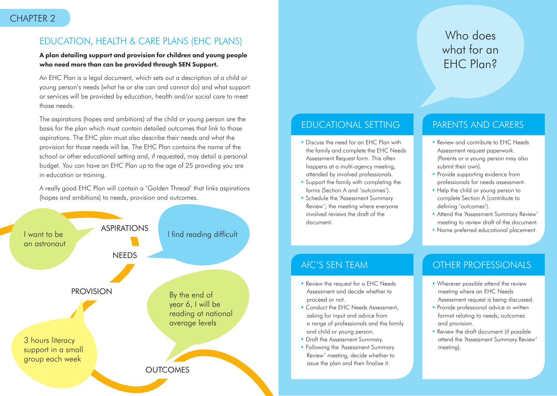## EDUCATION, HEALTH & CARE PLANS (EHC PLANS)

#### A plan detailing support and provision for children and young people who need more than can be provided through SEN Support.

An EHC Plan is a legal document, which sets out a description of a child or young person's needs (what he or she can and cannot do) and what support or services will be provided by education, health and/or social care to meet those needs.

The aspirations (hopes and ambitions) of the child or young person are the basis for the plan which must contain detailed outcomes that link to those aspirations. The EHC plan must also describe their needs and what the provision for those needs will be. The EHC Plan contains the name of the school or other educational setting and, if requested, may detail a personal budget. You can have an EHC Plan up to the age of 25 providing you are in education or training.

A really good EHC Plan will contain a 'Golden Thread' that links aspirations (hopes and ambitions) to needs, provision and outcomes.



## EDUCATIONAL SETTING

- Discuss the need for an EHC Plan with the family and complete the EHC Needs Assessment Request form. This often happens at a multi-agency meeting, attended by involved professionals.
- Support the family with completing the forms (Section A and 'outcomes').
- Schedule the 'Assessment Summary Review'; the meeting where everyone involved reviews the draft of the document.

## Who does what for an EHC Plan?

## PARENTS AND CARERS

- Review and contribute to EHC Needs Assessment request paperwork. (Parents or a young person may also submit their own).
- Provide supporting evidence from professionals for needs assessment.
- Help the child or young person to complete Section A (contribute to defining 'outcomes').
- Attend the 'Assessment Summary Review' meeting to review draft of the document.
- Name preferred educational placement.

## AfC'S SEN TEAM

- Review the request for a EHC Needs Assessment and decide whether to proceed or not.
- Conduct the EHC Needs Assessment, asking for input and advice from a range of professionals and the family and child or young person.
- Draft the Assessment Summary.
- Following the 'Assessment Summary Review' meeting, decide whether to issue the plan and then finalise it.

- Wherever possible attend the review meeting where an EHC Needs Assessment request is being discussed.
- Provide professional advice in written format relating to needs, outcomes and provision.
- Review the draft document (if possible attend the 'Assessment Summary Review' meeting).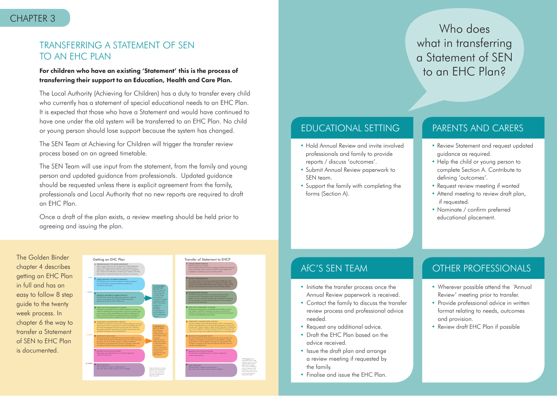#### CHAPTER 3

## TRANSFERRING A STATEMENT OF SEN TO AN FHC PLAN

#### For children who have an existing 'Statement' this is the process of transferring their support to an Education, Health and Care Plan.

The Local Authority (Achieving for Children) has a duty to transfer every child who currently has a statement of special educational needs to an EHC Plan. It is expected that those who have a Statement and would have continued to have one under the old system will be transferred to an EHC Plan. No child or young person should lose support because the system has changed.

The SEN Team at Achieving for Children will trigger the transfer review process based on an agreed timetable.

The SEN Team will use input from the statement, from the family and young person and updated guidance from professionals. Updated guidance should be requested unless there is explicit agreement from the family, professionals and Local Authority that no new reports are required to draft an EHC Plan.

Once a draft of the plan exists, a review meeting should be held prior to agreeing and issuing the plan.

## Who does what in transferring a Statement of SEN to an EHC Plan?

## EDUCATIONAL SETTING

- Hold Annual Review and invite involved professionals and family to provide reports / discuss 'outcomes'.
- Submit Annual Review paperwork to SEN team.
- Support the family with completing the forms (Section A).

#### PARENTS AND CARERS

- Review Statement and request updated guidance as required.
- Help the child or young person to complete Section A. Contribute to defining 'outcomes'.
- Request review meeting if wanted
- Attend meeting to review draft plan, if requested.
- Nominate / confirm preferred educational placement.

The Golden Binder chapter 4 describes getting an EHC Plan in full and has an easy to follow 8 step guide to the twenty week process. In chapter 6 the way to transfer a Statement of SEN to EHC Plan is documented.





## AfC'S SEN TEAM

- Initiate the transfer process once the Annual Review paperwork is received.
- Contact the family to discuss the transfer review process and professional advice needed.
- Request any additional advice.
- Draft the EHC Plan based on the advice received.
- Issue the draft plan and arrange a review meeting if requested by the family.
- Finalise and issue the EHC Plan.

- Wherever possible attend the 'Annual Review' meeting prior to transfer.
- Provide professional advice in written format relating to needs, outcomes and provision.
- Review draft EHC Plan if possible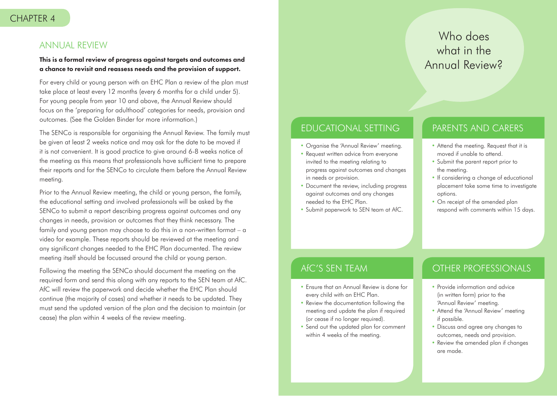#### ANNUAL REVIEW

#### This is a formal review of progress against targets and outcomes and a chance to revisit and reassess needs and the provision of support.

For every child or young person with an EHC Plan a review of the plan must take place at least every 12 months (every 6 months for a child under 5). For young people from year 10 and above, the Annual Review should focus on the 'preparing for adulthood' categories for needs, provision and outcomes. (See the Golden Binder for more information.)

The SENCo is responsible for organising the Annual Review. The family must be given at least 2 weeks notice and may ask for the date to be moved if it is not convenient. It is good practice to give around 6-8 weeks notice of the meeting as this means that professionals have sufficient time to prepare their reports and for the SENCo to circulate them before the Annual Review meeting.

Prior to the Annual Review meeting, the child or young person, the family, the educational setting and involved professionals will be asked by the SENCo to submit a report describing progress against outcomes and any changes in needs, provision or outcomes that they think necessary. The family and young person may choose to do this in a non-written format – a video for example. These reports should be reviewed at the meeting and any significant changes needed to the EHC Plan documented. The review meeting itself should be focussed around the child or young person.

Following the meeting the SENCo should document the meeting on the required form and send this along with any reports to the SEN team at AfC. AfC will review the paperwork and decide whether the EHC Plan should continue (the majority of cases) and whether it needs to be updated. They must send the updated version of the plan and the decision to maintain (or cease) the plan within 4 weeks of the review meeting.

## Who does what in the Annual Review?

## EDUCATIONAL SETTING

- Organise the 'Annual Review' meeting.
- Request written advice from everyone invited to the meeting relating to progress against outcomes and changes in needs or provision.
- Document the review, including progress against outcomes and any changes needed to the EHC Plan.
- Submit paperwork to SEN team at AfC.

#### PARENTS AND CARERS

- Attend the meeting. Request that it is moved if unable to attend.
- Submit the parent report prior to the meeting.
- If considering a change of educational placement take some time to investigate options.
- On receipt of the amended plan respond with comments within 15 days.

## AfC'S SEN TEAM

- Ensure that an Annual Review is done for every child with an EHC Plan.
- Review the documentation following the meeting and update the plan if required (or cease if no longer required).
- Send out the updated plan for comment within 4 weeks of the meeting.

- Provide information and advice (in written form) prior to the 'Annual Review' meeting.
- Attend the 'Annual Review' meeting if possible.
- Discuss and agree any changes to outcomes, needs and provision.
- Review the amended plan if changes are made.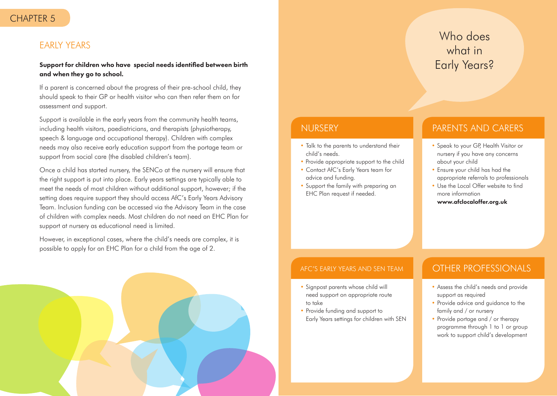#### CHAPTER 5

#### EARLY YEARS

#### Support for children who have special needs identified between birth and when they go to school.

If a parent is concerned about the progress of their pre-school child, they should speak to their GP or health visitor who can then refer them on for assessment and support.

Support is available in the early years from the community health teams, including health visitors, paediatricians, and therapists (physiotherapy, speech & language and occupational therapy). Children with complex needs may also receive early education support from the portage team or support from social care (the disabled children's team).

Once a child has started nursery, the SENCo at the nursery will ensure that the right support is put into place. Early years settings are typically able to meet the needs of most children without additional support, however; if the setting does require support they should access AfC's Early Years Advisory Team. Inclusion funding can be accessed via the Advisory Team in the case of children with complex needs. Most children do not need an EHC Plan for support at nursery as educational need is limited.

However, in exceptional cases, where the child's needs are complex, it is possible to apply for an EHC Plan for a child from the age of 2.



## NURSERY

- Talk to the parents to understand their child's needs.
- Provide appropriate support to the child
- Contact AfC's Early Years team for advice and funding.
- Support the family with preparing an EHC Plan request if needed.

#### PARENTS AND CARERS

Who does

what in

Early Years?

- Speak to your GP, Health Visitor or nursery if you have any concerns about your child
- Ensure your child has had the appropriate referrals to professionals
- Use the Local Offer website to find more information www.afclocaloffer.org.uk

#### AFC'S EARLY YEARS AND SEN TEAM

- Signpost parents whose child will need support on appropriate route to take
- Provide funding and support to Early Years settings for children with SEN

- Assess the child's needs and provide support as required
- Provide advice and guidance to the family and / or nursery
- Provide portage and / or therapy programme through 1 to 1 or group work to support child's development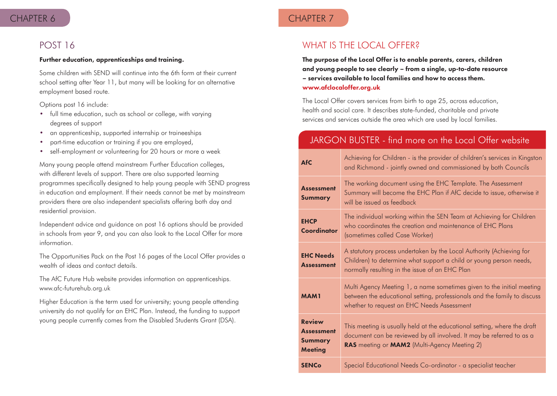#### CHAPTER 6 CHAPTER 7

#### POST 16

#### Further education, apprenticeships and training.

Some children with SEND will continue into the 6th form at their current school setting after Year 11, but many will be looking for an alternative employment based route.

Options post 16 include:

- full time education, such as school or college, with varying degrees of support
- an apprenticeship, supported internship or traineeships
- part-time education or training if you are employed,
- self-employment or volunteering for 20 hours or more a week

Many young people attend mainstream Further Education colleges, with different levels of support. There are also supported learning programmes specifically designed to help young people with SEND progress in education and employment. If their needs cannot be met by mainstream providers there are also independent specialists offering both day and residential provision.

Independent advice and guidance on post 16 options should be provided in schools from year 9, and you can also look to the Local Offer for more information.

The Opportunities Pack on the Post 16 pages of the Local Offer provides a wealth of ideas and contact details.

The AfC Future Hub website provides information on apprenticeships. www.afc-futurehub.org.uk

Higher Education is the term used for university; young people attending university do not qualify for an EHC Plan. Instead, the funding to support young people currently comes from the Disabled Students Grant (DSA).

## WHAT IS THE LOCAL OFFER?

The purpose of the Local Offer is to enable parents, carers, children and young people to see clearly – from a single, up-to-date resource – services available to local families and how to access them. www.afclocaloffer.org.uk

The Local Offer covers services from birth to age 25, across education, health and social care. It describes state-funded, charitable and private services and services outside the area which are used by local families.

## JARGON BUSTER - find more on the Local Offer website

| <b>AfC</b>                                                      | Achieving for Children - is the provider of children's services in Kingston<br>and Richmond - jointly owned and commissioned by both Councils                                                    |
|-----------------------------------------------------------------|--------------------------------------------------------------------------------------------------------------------------------------------------------------------------------------------------|
| <b>Assessment</b><br><b>Summary</b>                             | The working document using the EHC Template. The Assessment<br>Summary will become the EHC Plan if AfC decide to issue, otherwise it<br>will be issued as feedback                               |
| <b>EHCP</b><br>Coordinator                                      | The individual working within the SEN Team at Achieving for Children<br>who coordinates the creation and maintenance of EHC Plans<br>(sometimes called Case Worker)                              |
| <b>EHC Needs</b><br><b>Assessment</b>                           | A statutory process undertaken by the Local Authority (Achieving for<br>Children) to determine what support a child or young person needs,<br>normally resulting in the issue of an EHC Plan     |
| <b>MAM1</b>                                                     | Multi Agency Meeting 1, a name sometimes given to the initial meeting<br>between the educational setting, professionals and the family to discuss<br>whether to request an EHC Needs Assessment  |
| <b>Review</b><br><b>Assessment</b><br>Summary<br><b>Meeting</b> | This meeting is usually held at the educational setting, where the draft<br>document can be reviewed by all involved. It may be referred to as a<br>RAS meeting or MAM2 (Multi-Agency Meeting 2) |
| <b>SENCo</b>                                                    | Special Educational Needs Co-ordinator - a specialist teacher                                                                                                                                    |